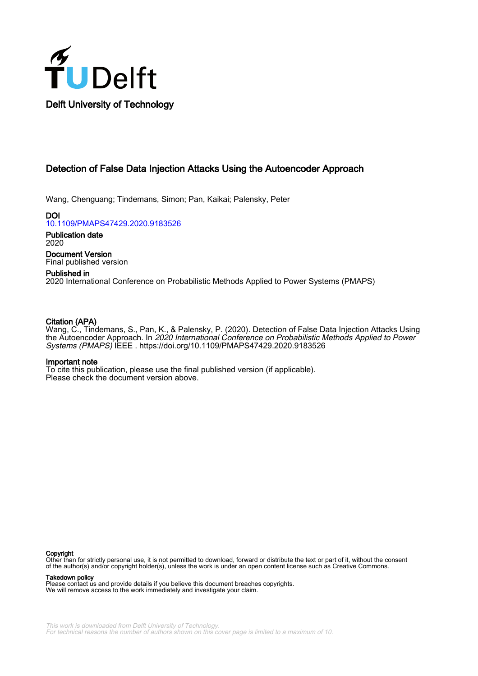

# Detection of False Data Injection Attacks Using the Autoencoder Approach

Wang, Chenguang; Tindemans, Simon; Pan, Kaikai; Palensky, Peter

DOI [10.1109/PMAPS47429.2020.9183526](https://doi.org/10.1109/PMAPS47429.2020.9183526)

Publication date 2020

Document Version Final published version

# Published in

2020 International Conference on Probabilistic Methods Applied to Power Systems (PMAPS)

# Citation (APA)

Wang, C., Tindemans, S., Pan, K., & Palensky, P. (2020). Detection of False Data Injection Attacks Using the Autoencoder Approach. In 2020 International Conference on Probabilistic Methods Applied to Power Systems (PMAPS) IEEE . <https://doi.org/10.1109/PMAPS47429.2020.9183526>

## Important note

To cite this publication, please use the final published version (if applicable). Please check the document version above.

#### Copyright

Other than for strictly personal use, it is not permitted to download, forward or distribute the text or part of it, without the consent of the author(s) and/or copyright holder(s), unless the work is under an open content license such as Creative Commons.

Takedown policy

Please contact us and provide details if you believe this document breaches copyrights. We will remove access to the work immediately and investigate your claim.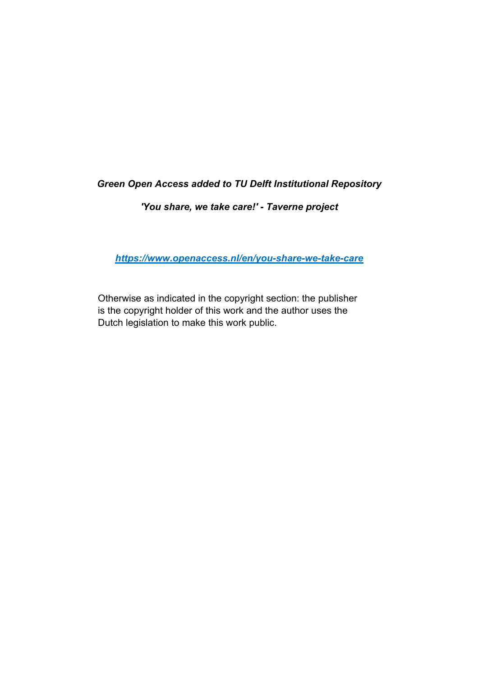# *Green Open Access added to TU Delft Institutional Repository*

# *'You share, we take care!' - Taverne project*

*https://www.openaccess.nl/en/you-share-we-take-care*

Otherwise as indicated in the copyright section: the publisher is the copyright holder of this work and the author uses the Dutch legislation to make this work public.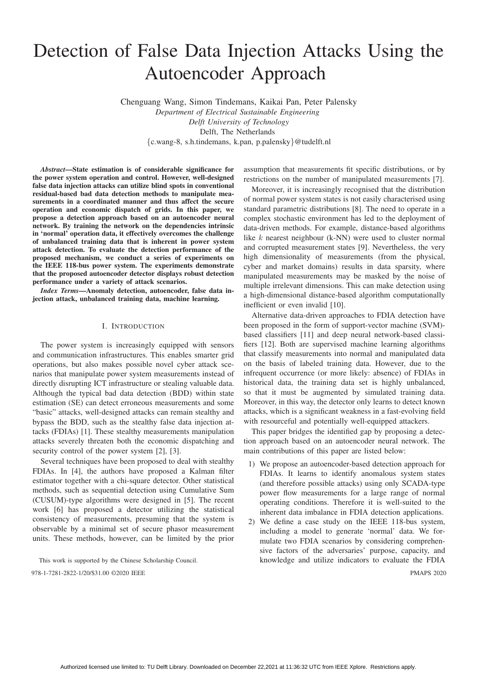# Detection of False Data Injection Attacks Using the Autoencoder Approach

Chenguang Wang, Simon Tindemans, Kaikai Pan, Peter Palensky

*Department of Electrical Sustainable Engineering Delft University of Technology* Delft, The Netherlands {c.wang-8, s.h.tindemans, k.pan, p.palensky}@tudelft.nl

*Abstract*—State estimation is of considerable significance for the power system operation and control. However, well-designed false data injection attacks can utilize blind spots in conventional residual-based bad data detection methods to manipulate measurements in a coordinated manner and thus affect the secure operation and economic dispatch of grids. In this paper, we propose a detection approach based on an autoencoder neural network. By training the network on the dependencies intrinsic in 'normal' operation data, it effectively overcomes the challenge of unbalanced training data that is inherent in power system attack detection. To evaluate the detection performance of the proposed mechanism, we conduct a series of experiments on the IEEE 118-bus power system. The experiments demonstrate that the proposed autoencoder detector displays robust detection performance under a variety of attack scenarios.

*Index Terms*—Anomaly detection, autoencoder, false data injection attack, unbalanced training data, machine learning.

#### I. INTRODUCTION

The power system is increasingly equipped with sensors and communication infrastructures. This enables smarter grid operations, but also makes possible novel cyber attack scenarios that manipulate power system measurements instead of directly disrupting ICT infrastructure or stealing valuable data. Although the typical bad data detection (BDD) within state estimation (SE) can detect erroneous measurements and some "basic" attacks, well-designed attacks can remain stealthy and bypass the BDD, such as the stealthy false data injection attacks (FDIAs) [1]. These stealthy measurements manipulation attacks severely threaten both the economic dispatching and security control of the power system [2], [3].

Several techniques have been proposed to deal with stealthy FDIAs. In [4], the authors have proposed a Kalman filter estimator together with a chi-square detector. Other statistical methods, such as sequential detection using Cumulative Sum (CUSUM)-type algorithms were designed in [5]. The recent work [6] has proposed a detector utilizing the statistical consistency of measurements, presuming that the system is observable by a minimal set of secure phasor measurement units. These methods, however, can be limited by the prior

This work is supported by the Chinese Scholarship Council. 978-1-7281-2822-1/20/\$31.00 ©2020 IEEE PMAPS 2020

assumption that measurements fit specific distributions, or by restrictions on the number of manipulated measurements [7].

Moreover, it is increasingly recognised that the distribution of normal power system states is not easily characterised using standard parametric distributions [8]. The need to operate in a complex stochastic environment has led to the deployment of data-driven methods. For example, distance-based algorithms like k nearest neighbour (k-NN) were used to cluster normal and corrupted measurement states [9]. Nevertheless, the very high dimensionality of measurements (from the physical, cyber and market domains) results in data sparsity, where manipulated measurements may be masked by the noise of multiple irrelevant dimensions. This can make detection using a high-dimensional distance-based algorithm computationally inefficient or even invalid [10].

Alternative data-driven approaches to FDIA detection have been proposed in the form of support-vector machine (SVM) based classifiers [11] and deep neural network-based classifiers [12]. Both are supervised machine learning algorithms that classify measurements into normal and manipulated data on the basis of labeled training data. However, due to the infrequent occurrence (or more likely: absence) of FDIAs in historical data, the training data set is highly unbalanced, so that it must be augmented by simulated training data. Moreover, in this way, the detector only learns to detect known attacks, which is a significant weakness in a fast-evolving field with resourceful and potentially well-equipped attackers.

This paper bridges the identified gap by proposing a detection approach based on an autoencoder neural network. The main contributions of this paper are listed below:

- 1) We propose an autoencoder-based detection approach for FDIAs. It learns to identify anomalous system states (and therefore possible attacks) using only SCADA-type power flow measurements for a large range of normal operating conditions. Therefore it is well-suited to the inherent data imbalance in FDIA detection applications.
- 2) We define a case study on the IEEE 118-bus system, including a model to generate 'normal' data. We formulate two FDIA scenarios by considering comprehensive factors of the adversaries' purpose, capacity, and knowledge and utilize indicators to evaluate the FDIA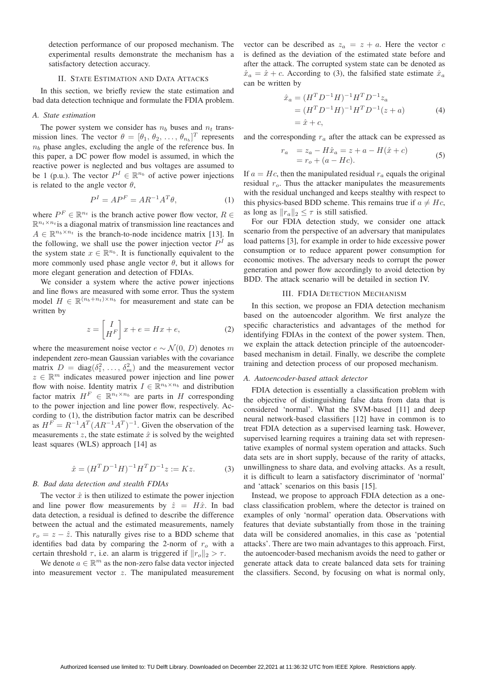detection performance of our proposed mechanism. The experimental results demonstrate the mechanism has a satisfactory detection accuracy.

## II. STATE ESTIMATION AND DATA ATTACKS

In this section, we briefly review the state estimation and bad data detection technique and formulate the FDIA problem.

#### *A. State estimation*

The power system we consider has  $n_b$  buses and  $n_t$  transmission lines. The vector  $\theta = [\theta_1, \theta_2, \dots, \theta_{n_b}]^T$  represents<br>n, phase angles, excluding the angle of the reference bus. In  $n_b$  phase angles, excluding the angle of the reference bus. In this paper, a DC power flow model is assumed, in which the reactive power is neglected and bus voltages are assumed to be 1 (p.u.). The vector  $P^I \in \mathbb{R}^{n_b}$  of active power injections is related to the angle vector  $\theta$ ,

$$
P^I = AP^F = AR^{-1}A^T\theta,
$$
\n<sup>(1)</sup>

where  $P^F \in \mathbb{R}^{n_t}$  is the branch active power flow vector,  $R \in$  $\mathbb{R}^{n_t \times n_t}$  is a diagonal matrix of transmission line reactances and  $A \in \mathbb{R}^{n_b \times n_t}$  is the branch-to-node incidence matrix [13]. In the following, we shall use the power injection vector  $P<sup>I</sup>$  as the system state  $x \in \mathbb{R}^{n_b}$ . It is functionally equivalent to the more commonly used phase angle vector  $\theta$ , but it allows for more elegant generation and detection of FDIAs.

We consider a system where the active power injections and line flows are measured with some error. Thus the system model  $H \in \mathbb{R}^{(n_b+n_t)\times n_b}$  for measurement and state can be written by

$$
z = \begin{bmatrix} I \\ H^F \end{bmatrix} x + e = Hx + e,\tag{2}
$$

where the measurement noise vector  $e \sim \mathcal{N}(0, D)$  denotes m independent zero-mean Gaussian variables with the covariance matrix  $D = \text{diag}(\delta_1^2, \dots, \delta_m^2)$  and the measurement vector  $\alpha \in \mathbb{R}^m$  indicates measured power injection and line power  $z \in \mathbb{R}^m$  indicates measured power injection and line power flow with noise. Identity matrix  $I \in \mathbb{R}^{n_b \times n_b}$  and distribution factor matrix  $H^F \in \mathbb{R}^{n_t \times n_b}$  are parts in H corresponding to the power injection and line power flow, respectively. According to (1), the distribution factor matrix can be described as  $H^F = R^{-1}A^T (AR^{-1}A^T)^{-1}$ . Given the observation of the measurements  $z$ , the state estimate  $\hat{x}$  is solved by the weighted least squares (WLS) approach [14] as

$$
\hat{x} = (H^T D^{-1} H)^{-1} H^T D^{-1} z := Kz.
$$
 (3)

#### *B. Bad data detection and stealth FDIAs*

The vector  $\hat{x}$  is then utilized to estimate the power injection and line power flow measurements by  $\hat{z} = H\hat{x}$ . In bad data detection, a residual is defined to describe the difference between the actual and the estimated measurements, namely  $r<sub>o</sub> = z - \hat{z}$ . This naturally gives rise to a BDD scheme that identifies bad data by comparing the 2-norm of  $r<sub>o</sub>$  with a certain threshold  $\tau$ , i.e. an alarm is triggered if  $||r_o||_2 > \tau$ .

We denote  $a \in \mathbb{R}^m$  as the non-zero false data vector injected into measurement vector z. The manipulated measurement

vector can be described as  $z_a = z + a$ . Here the vector c is defined as the deviation of the estimated state before and after the attack. The corrupted system state can be denoted as  $\hat{x}_a = \hat{x} + c$ . According to (3), the falsified state estimate  $\hat{x}_a$ can be written by

$$
\begin{aligned}\n\hat{x}_a &= (H^T D^{-1} H)^{-1} H^T D^{-1} z_a \\
&= (H^T D^{-1} H)^{-1} H^T D^{-1} (z + a) \\
&= \hat{x} + c,\n\end{aligned} \tag{4}
$$

and the corresponding  $r_a$  after the attack can be expressed as

$$
r_a = z_a - H\hat{x}_a = z + a - H(\hat{x} + c)
$$
  
=  $r_o + (a - Hc).$  (5)

If  $a = Hc$ , then the manipulated residual  $r_a$  equals the original residual  $r<sub>o</sub>$ . Thus the attacker manipulates the measurements with the residual unchanged and keeps stealthy with respect to this physics-based BDD scheme. This remains true if  $a \neq Hc$ , as long as  $||r_a||_2 \leq \tau$  is still satisfied.

For our FDIA detection study, we consider one attack scenario from the perspective of an adversary that manipulates load patterns [3], for example in order to hide excessive power consumption or to reduce apparent power consumption for economic motives. The adversary needs to corrupt the power generation and power flow accordingly to avoid detection by BDD. The attack scenario will be detailed in section IV.

#### III. FDIA DETECTION MECHANISM

In this section, we propose an FDIA detection mechanism based on the autoencoder algorithm. We first analyze the specific characteristics and advantages of the method for identifying FDIAs in the context of the power system. Then, we explain the attack detection principle of the autoencoderbased mechanism in detail. Finally, we describe the complete training and detection process of our proposed mechanism.

#### *A. Autoencoder-based attack detector*

FDIA detection is essentially a classification problem with the objective of distinguishing false data from data that is considered 'normal'. What the SVM-based [11] and deep neural network-based classifiers [12] have in common is to treat FDIA detection as a supervised learning task. However, supervised learning requires a training data set with representative examples of normal system operation and attacks. Such data sets are in short supply, because of the rarity of attacks, unwillingness to share data, and evolving attacks. As a result, it is difficult to learn a satisfactory discriminator of 'normal' and 'attack' scenarios on this basis [15].

Instead, we propose to approach FDIA detection as a oneclass classification problem, where the detector is trained on examples of only 'normal' operation data. Observations with features that deviate substantially from those in the training data will be considered anomalies, in this case as 'potential attacks'. There are two main advantages to this approach. First, the autoencoder-based mechanism avoids the need to gather or generate attack data to create balanced data sets for training the classifiers. Second, by focusing on what is normal only,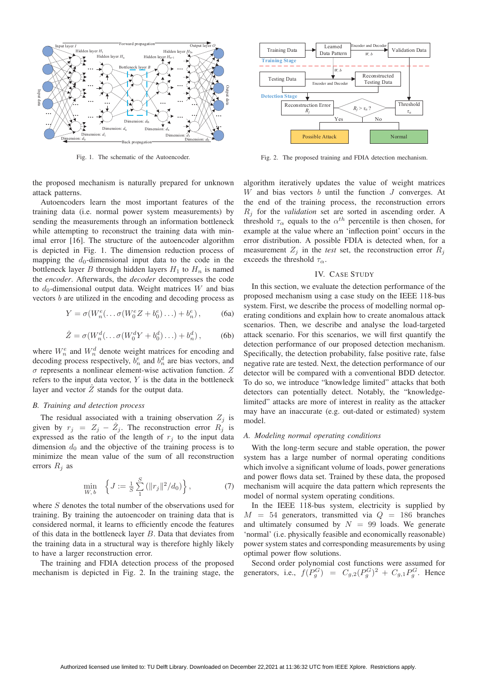

Fig. 1. The schematic of the Autoencoder.

the proposed mechanism is naturally prepared for unknown attack patterns.

Autoencoders learn the most important features of the training data (i.e. normal power system measurements) by sending the measurements through an information bottleneck while attempting to reconstruct the training data with minimal error [16]. The structure of the autoencoder algorithm is depicted in Fig. 1. The dimension reduction process of mapping the  $d_0$ -dimensional input data to the code in the bottleneck layer B through hidden layers  $H_1$  to  $H_n$  is named the *encoder*. Afterwards, the *decoder* decompresses the code to  $d_0$ -dimensional output data. Weight matrices W and bias vectors b are utilized in the encoding and decoding process as

$$
Y = \sigma(W_n^e(\ldots \sigma(W_0^e Z + b_0^e) \ldots) + b_n^e), \tag{6a}
$$

$$
\hat{Z} = \sigma(W_n^d(\dots \sigma(W_0^d Y + b_0^d) \dots) + b_n^d), \tag{6b}
$$

where  $W_n^e$  and  $W_n^d$  denote weight matrices for encoding and decoding process respectively,  $b_n^e$  and  $b_n^d$  are bias vectors, and  $\sigma$  represents a nonlinear element-wise activation function.  $Z$ refers to the input data vector,  $Y$  is the data in the bottleneck layer and vector  $\hat{Z}$  stands for the output data.

#### *B. Training and detection process*

The residual associated with a training observation  $Z_i$  is given by  $r_j = Z_j - \hat{Z}_j$ . The reconstruction error  $R_j$  is expressed as the ratio of the length of  $r_j$  to the input data dimension  $d_0$  and the objective of the training process is to minimize the mean value of the sum of all reconstruction errors  $R_j$  as

$$
\min_{W,b} \quad \left\{ J := \frac{1}{S} \sum_{1}^{S} \left( ||r_j||^2 / d_0 \right) \right\},\tag{7}
$$

where S denotes the total number of the observations used for training. By training the autoencoder on training data that is considered normal, it learns to efficiently encode the features of this data in the bottleneck layer B. Data that deviates from the training data in a structural way is therefore highly likely to have a larger reconstruction error.

The training and FDIA detection process of the proposed mechanism is depicted in Fig. 2. In the training stage, the



Fig. 2. The proposed training and FDIA detection mechanism.

algorithm iteratively updates the value of weight matrices  $W$  and bias vectors  $b$  until the function  $J$  converges. At the end of the training process, the reconstruction errors R<sup>j</sup> for the *validation* set are sorted in ascending order. A threshold  $\tau_{\alpha}$  equals to the  $\alpha^{th}$  percentile is then chosen, for example at the value where an 'inflection point' occurs in the error distribution. A possible FDIA is detected when, for a measurement  $Z_i$  in the *test* set, the reconstruction error  $R_i$ exceeds the threshold  $\tau_{\alpha}$ .

#### IV. CASE STUDY

In this section, we evaluate the detection performance of the proposed mechanism using a case study on the IEEE 118-bus system. First, we describe the process of modelling normal operating conditions and explain how to create anomalous attack scenarios. Then, we describe and analyse the load-targeted attack scenario. For this scenarios, we will first quantify the detection performance of our proposed detection mechanism. Specifically, the detection probability, false positive rate, false negative rate are tested. Next, the detection performance of our detector will be compared with a conventional BDD detector. To do so, we introduce "knowledge limited" attacks that both detectors can potentially detect. Notably, the "knowledgelimited" attacks are more of interest in reality as the attacker may have an inaccurate (e.g. out-dated or estimated) system model.

#### *A. Modeling normal operating conditions*

With the long-term secure and stable operation, the power system has a large number of normal operating conditions which involve a significant volume of loads, power generations and power flows data set. Trained by these data, the proposed mechanism will acquire the data pattern which represents the model of normal system operating conditions.

In the IEEE 118-bus system, electricity is supplied by  $M = 54$  generators, transmitted via  $Q = 186$  branches and ultimately consumed by  $N = 99$  loads. We generate 'normal' (i.e. physically feasible and economically reasonable) power system states and corresponding measurements by using optimal power flow solutions.

Second order polynomial cost functions were assumed for generators, i.e.,  $f(P_g^G) = C_{g,2}(P_g^G)^2 + C_{g,1}P_g^G$ . Hence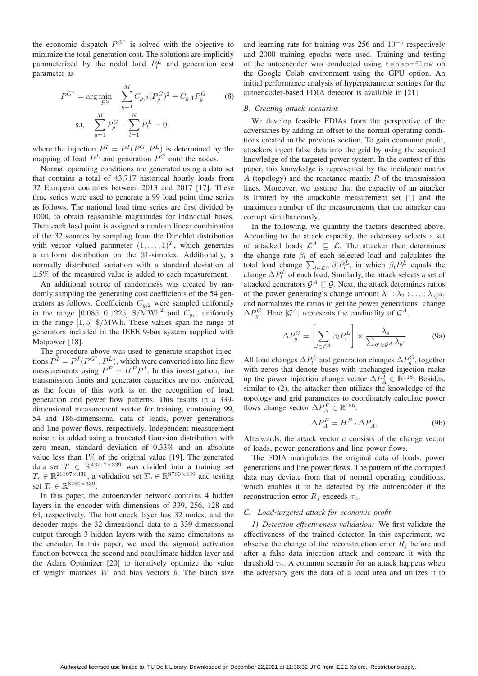the economic dispatch  $P^{G^*}$  is solved with the objective to minimize the total generation cost. The solutions are implicitly parameterized by the nodal load  $P_l^L$  and generation cost parameter as

$$
P^{G^*} = \arg\min_{P^G} \sum_{g=1}^{M} C_{g,2} (P_g^G)^2 + C_{g,1} P_g^G \tag{8}
$$
  
s.t. 
$$
\sum_{g=1}^{M} P_g^G - \sum_{l=1}^{N} P_l^L = 0,
$$

where the injection  $P^I = P^I(P^G, P^L)$  is determined by the mapping of load  $P<sup>L</sup>$  and generation  $P<sup>G</sup>$  onto the nodes.

Normal operating conditions are generated using a data set that contains a total of 43,717 historical hourly loads from 32 European countries between 2013 and 2017 [17]. These time series were used to generate a 99 load point time series as follows. The national load time series are first divided by 1000, to obtain reasonable magnitudes for individual buses. Then each load point is assigned a random linear combination of the 32 sources by sampling from the Dirichlet distribution with vector valued parameter  $(1,\ldots,1)^T$ , which generates a uniform distribution on the 31-simplex. Additionally, a normally distributed variation with a standard deviation of  $\pm 5\%$  of the measured value is added to each measurement.

An additional source of randomness was created by randomly sampling the generating cost coefficients of the 54 generators as follows. Coefficients  $C_{g,2}$  were sampled uniformly in the range [0.085, 0.1225]  $\gamma$ /MWh<sup>2</sup> and  $C_{q,1}$  uniformly in the range [1, 5] \$/MWh. These values span the range of generators included in the IEEE 9-bus system supplied with Matpower [18].

The procedure above was used to generate snapshot injections  $P^I = P^I(P^{G^*}, P^L)$ , which were converted into line flow<br>measurements using  $P^F = H^F P^I$ . In this investigation, line measurements using  $P^F = H^F P^I$ . In this investigation, line<br>transmission limits and generator canacities are not enforced transmission limits and generator capacities are not enforced, as the focus of this work is on the recognition of load, generation and power flow patterns. This results in a 339 dimensional measurement vector for training, containing 99, 54 and 186-dimensional data of loads, power generations and line power flows, respectively. Independent measurement noise e is added using a truncated Gaussian distribution with zero mean, standard deviation of 0.33% and an absolute value less than 1% of the original value [19]. The generated<br>data set  $T \in \mathbb{R}^{43717 \times 339}$  was divided into a training set  $T_r \in \mathbb{R}^{26197 \times 339}$ , a validation set  $T_v \in \mathbb{R}^{8760 \times 339}$  and testing set  $T_e \in \mathbb{R}^{8760 \times 339}$ .

In this paper, the autoencoder network contains 4 hidden layers in the encoder with dimensions of 339, 256, 128 and 64, respectively. The bottleneck layer has 32 nodes, and the decoder maps the 32-dimensional data to a 339-dimensional output through 3 hidden layers with the same dimensions as the encoder. In this paper, we used the sigmoid activation function between the second and penultimate hidden layer and the Adam Optimizer [20] to iteratively optimize the value of weight matrices  $W$  and bias vectors  $b$ . The batch size

and learning rate for training was 256 and  $10^{-5}$  respectively and 2000 training epochs were used. Training and testing of the autoencoder was conducted using tensorflow on the Google Colab environment using the GPU option. An initial performance analysis of hyperparameter settings for the autoencoder-based FDIA detector is available in [21].

## *B. Creating attack scenarios*

We develop feasible FDIAs from the perspective of the adversaries by adding an offset to the normal operating conditions created in the previous section. To gain economic profit, attackers inject false data into the grid by using the acquired knowledge of the targeted power system. In the context of this paper, this knowledge is represented by the incidence matrix A (topology) and the reactance matrix  $R$  of the transmission lines. Moreover, we assume that the capacity of an attacker is limited by the attackable measurement set [1] and the maximum number of the measurements that the attacker can corrupt simultaneously.

In the following, we quantify the factors described above. According to the attack capacity, the adversary selects a set of attacked loads  $\mathcal{L}^A \subseteq \mathcal{L}$ . The attacker then determines the change rate  $\beta_l$  of each selected load and calculates the total load change  $\sum_{l \in \mathcal{L}^A} \beta_l P_l^L$ , in which  $\beta_l P_l^L$  equals the change  $\Delta P_l^L$  of each load. Similarly, the attack selects a set of attacked generators  $G^A \subseteq G$ . Next, the attack determines ratios attacked generators  $\mathcal{G}^A \subseteq \mathcal{G}$ . Next, the attack determines ratios of the power generating's change amount  $\lambda_1 : \lambda_2 : \ldots : \lambda_{|G^A|}$ and normalizes the ratios to get the power generations' change  $\Delta P_g^G$ . Here  $|\mathcal{G}^A|$  represents the cardinality of  $\mathcal{G}^A$ .

$$
\Delta P_g^G = \left[ \sum_{l \in \mathcal{L}^A} \beta_l P_l^L \right] \times \frac{\lambda_g}{\sum_{g' \in \mathcal{G}^A} \lambda_{g'}} \tag{9a}
$$

All load changes  $\Delta P_l^L$  and generation changes  $\Delta P_g^G$ , together with zeros that denote buses with unchanged injection make with zeros that denote buses with unchanged injection make up the power injection change vector  $\Delta P_A^I \in \mathbb{R}^{118}$ . Besides, similar to (2), the attacker then utilizes the knowledge of the similar to (2), the attacker then utilizes the knowledge of the topology and grid parameters to coordinately calculate power flows change vector  $\Delta P_A^F \in \mathbb{R}^{186}$ .

$$
\Delta P_A^F = H^F \cdot \Delta P_A^I,\tag{9b}
$$

Afterwards, the attack vector  $a$  consists of the change vector of loads, power generations and line power flows.

The FDIA manipulates the original data of loads, power generations and line power flows. The pattern of the corrupted data may deviate from that of normal operating conditions, which enables it to be detected by the autoencoder if the reconstruction error  $R_i$  exceeds  $\tau_{\alpha}$ .

## *C. Load-targeted attack for economic profit*

*1) Detection effectiveness validation:* We first validate the effectiveness of the trained detector. In this experiment, we observe the change of the reconstruction error  $R_j$  before and after a false data injection attack and compare it with the threshold  $\tau_{\alpha}$ . A common scenario for an attack happens when the adversary gets the data of a local area and utilizes it to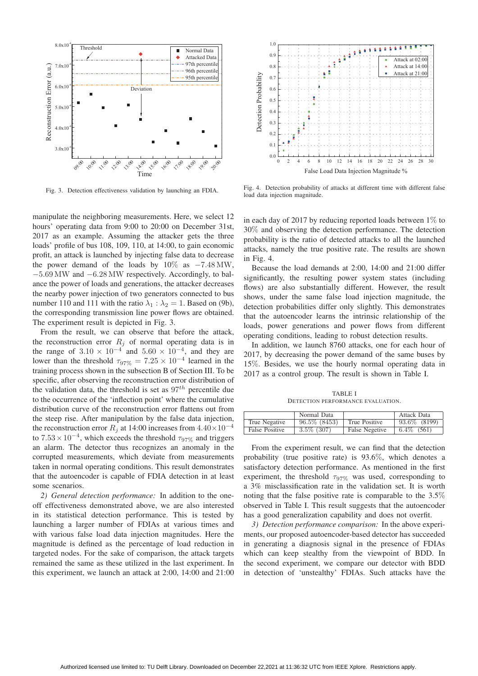

Fig. 3. Detection effectiveness validation by launching an FDIA.

manipulate the neighboring measurements. Here, we select 12 hours' operating data from 9:00 to 20:00 on December 31st, 2017 as an example. Assuming the attacker gets the three loads' profile of bus 108, 109, 110, at 14:00, to gain economic profit, an attack is launched by injecting false data to decrease the power demand of the loads by  $10\%$  as  $-7.48 \text{ MW}$ , <sup>−</sup>5.69 MW and <sup>−</sup>6.28 MW respectively. Accordingly, to balance the power of loads and generations, the attacker decreases the nearby power injection of two generators connected to bus number 110 and 111 with the ratio  $\lambda_1 : \lambda_2 = 1$ . Based on (9b), the corresponding transmission line power flows are obtained. The experiment result is depicted in Fig. 3.

From the result, we can observe that before the attack, the reconstruction error  $R_i$  of normal operating data is in the range of  $3.10 \times 10^{-4}$  and  $5.60 \times 10^{-4}$ , and they are lower than the threshold  $\tau_{97\%} = 7.25 \times 10^{-4}$  learned in the training process shown in the subsection B of Section III. To be specific, after observing the reconstruction error distribution of the validation data, the threshold is set as  $97<sup>th</sup>$  percentile due to the occurrence of the 'inflection point' where the cumulative distribution curve of the reconstruction error flattens out from the steep rise. After manipulation by the false data injection, the reconstruction error  $R_i$  at 14:00 increases from  $4.40 \times 10^{-4}$ to  $7.53 \times 10^{-4}$ , which exceeds the threshold  $\tau_{97\%}$  and triggers an alarm. The detector thus recognizes an anomaly in the corrupted measurements, which deviate from measurements taken in normal operating conditions. This result demonstrates that the autoencoder is capable of FDIA detection in at least some scenarios.

*2) General detection performance:* In addition to the oneoff effectiveness demonstrated above, we are also interested in its statistical detection performance. This is tested by launching a larger number of FDIAs at various times and with various false load data injection magnitudes. Here the magnitude is defined as the percentage of load reduction in targeted nodes. For the sake of comparison, the attack targets remained the same as these utilized in the last experiment. In this experiment, we launch an attack at 2:00, 14:00 and 21:00



Fig. 4. Detection probability of attacks at different time with different false load data injection magnitude.

in each day of 2017 by reducing reported loads between  $1\%$  to <sup>30</sup>% and observing the detection performance. The detection probability is the ratio of detected attacks to all the launched attacks, namely the true positive rate. The results are shown in Fig. 4.

Because the load demands at 2:00, 14:00 and 21:00 differ significantly, the resulting power system states (including flows) are also substantially different. However, the result shows, under the same false load injection magnitude, the detection probabilities differ only slightly. This demonstrates that the autoencoder learns the intrinsic relationship of the loads, power generations and power flows from different operating conditions, leading to robust detection results.

In addition, we launch 8760 attacks, one for each hour of 2017, by decreasing the power demand of the same buses by <sup>15</sup>%. Besides, we use the hourly normal operating data in 2017 as a control group. The result is shown in Table I.

TABLE I DETECTION PERFORMANCE EVALUATION.

|                       | Normal Data     |                | Attack Data     |
|-----------------------|-----------------|----------------|-----------------|
| True Negative         | $96.5\%$ (8453) | True Positive  | 93.6\% (8199)   |
| <b>False Positive</b> | $3.5\%$ (307)   | False Negetive | $6.4\%$ $(561)$ |

From the experiment result, we can find that the detection probability (true positive rate) is 93.6%, which denotes a satisfactory detection performance. As mentioned in the first experiment, the threshold  $\tau_{97\%}$  was used, corresponding to a 3% misclassification rate in the validation set. It is worth noting that the false positive rate is comparable to the 3.5% observed in Table I. This result suggests that the autoencoder has a good generalization capability and does not overfit.

*3) Detection performance comparison:* In the above experiments, our proposed autoencoder-based detector has succeeded in generating a diagnosis signal in the presence of FDIAs which can keep stealthy from the viewpoint of BDD. In the second experiment, we compare our detector with BDD in detection of 'unstealthy' FDIAs. Such attacks have the